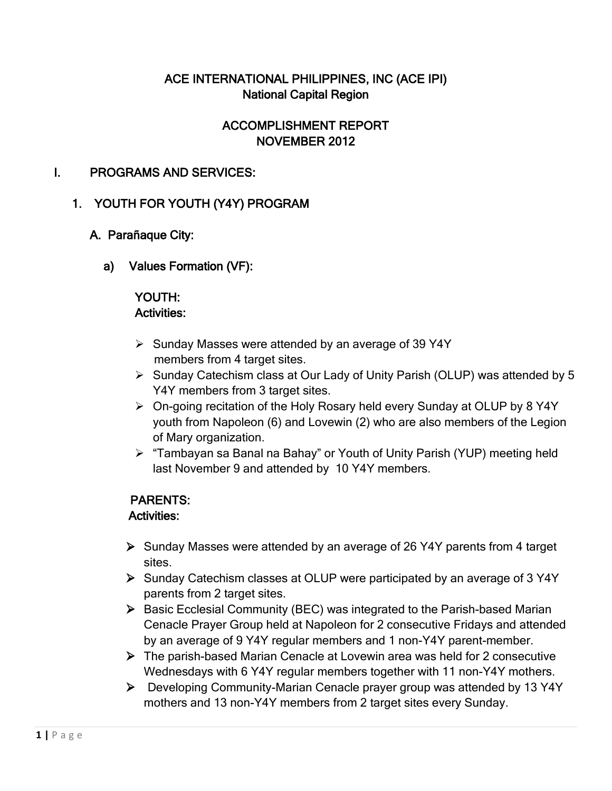## ACE INTERNATIONAL PHILIPPINES, INC (ACE IPI) National Capital Region

# ACCOMPLISHMENT REPORT NOVEMBER 2012

### I. PROGRAMS AND SERVICES:

## 1. YOUTH FOR YOUTH (Y4Y) PROGRAM

### A. Parañaque City:

a) Values Formation (VF):

#### YOUTH: Activities:

- $\triangleright$  Sunday Masses were attended by an average of 39 Y4Y members from 4 target sites.
- Sunday Catechism class at Our Lady of Unity Parish (OLUP) was attended by 5 Y4Y members from 3 target sites.
- On-going recitation of the Holy Rosary held every Sunday at OLUP by 8 Y4Y youth from Napoleon (6) and Lovewin (2) who are also members of the Legion of Mary organization.
- > "Tambayan sa Banal na Bahay" or Youth of Unity Parish (YUP) meeting held last November 9 and attended by 10 Y4Y members.

### PARENTS:

### Activities:

- Sunday Masses were attended by an average of 26 Y4Y parents from 4 target sites.
- Sunday Catechism classes at OLUP were participated by an average of 3 Y4Y parents from 2 target sites.
- $\triangleright$  Basic Ecclesial Community (BEC) was integrated to the Parish-based Marian Cenacle Prayer Group held at Napoleon for 2 consecutive Fridays and attended by an average of 9 Y4Y regular members and 1 non-Y4Y parent-member.
- The parish-based Marian Cenacle at Lovewin area was held for 2 consecutive Wednesdays with 6 Y4Y regular members together with 11 non-Y4Y mothers.
- Developing Community-Marian Cenacle prayer group was attended by 13 Y4Y mothers and 13 non-Y4Y members from 2 target sites every Sunday.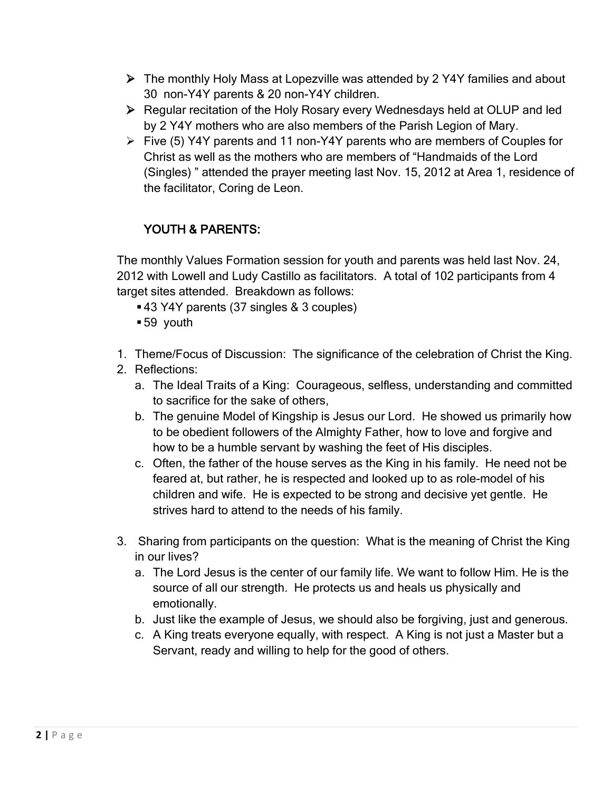- The monthly Holy Mass at Lopezville was attended by 2 Y4Y families and about 30 non-Y4Y parents & 20 non-Y4Y children.
- Regular recitation of the Holy Rosary every Wednesdays held at OLUP and led by 2 Y4Y mothers who are also members of the Parish Legion of Mary.
- $\triangleright$  Five (5) Y4Y parents and 11 non-Y4Y parents who are members of Couples for Christ as well as the mothers who are members of "Handmaids of the Lord (Singles) " attended the prayer meeting last Nov. 15, 2012 at Area 1, residence of the facilitator, Coring de Leon.

# YOUTH & PARENTS:

The monthly Values Formation session for youth and parents was held last Nov. 24, 2012 with Lowell and Ludy Castillo as facilitators. A total of 102 participants from 4 target sites attended. Breakdown as follows:

- 43 Y4Y parents (37 singles & 3 couples)
- 59 youth
- 1. Theme/Focus of Discussion: The significance of the celebration of Christ the King.
- 2. Reflections:
	- a. The Ideal Traits of a King: Courageous, selfless, understanding and committed to sacrifice for the sake of others,
	- b. The genuine Model of Kingship is Jesus our Lord. He showed us primarily how to be obedient followers of the Almighty Father, how to love and forgive and how to be a humble servant by washing the feet of His disciples.
	- c. Often, the father of the house serves as the King in his family. He need not be feared at, but rather, he is respected and looked up to as role-model of his children and wife. He is expected to be strong and decisive yet gentle. He strives hard to attend to the needs of his family.
- 3. Sharing from participants on the question: What is the meaning of Christ the King in our lives?
	- a. The Lord Jesus is the center of our family life. We want to follow Him. He is the source of all our strength. He protects us and heals us physically and emotionally.
	- b. Just like the example of Jesus, we should also be forgiving, just and generous.
	- c. A King treats everyone equally, with respect. A King is not just a Master but a Servant, ready and willing to help for the good of others.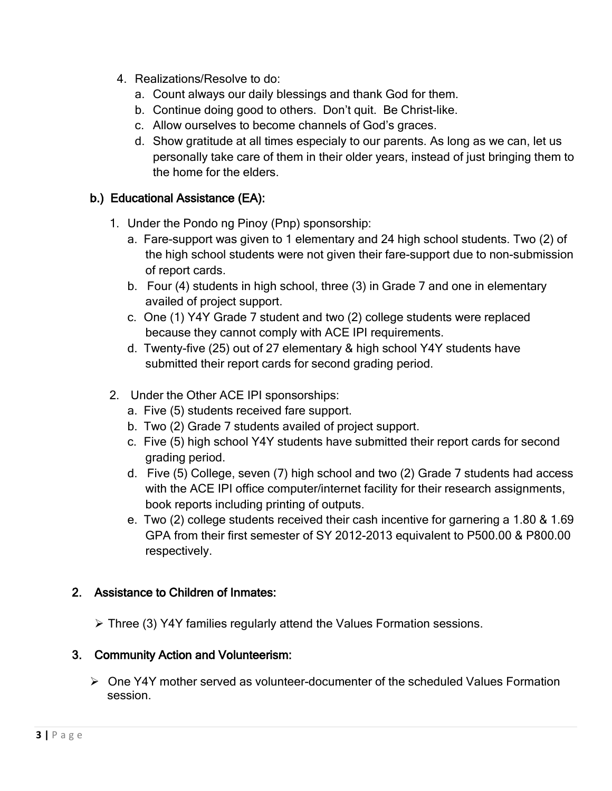- 4. Realizations/Resolve to do:
	- a. Count always our daily blessings and thank God for them.
	- b. Continue doing good to others. Don't quit. Be Christ-like.
	- c. Allow ourselves to become channels of God's graces.
	- d. Show gratitude at all times especialy to our parents. As long as we can, let us personally take care of them in their older years, instead of just bringing them to the home for the elders.

### b.) Educational Assistance (EA):

- 1. Under the Pondo ng Pinoy (Pnp) sponsorship:
	- a. Fare-support was given to 1 elementary and 24 high school students. Two (2) of the high school students were not given their fare-support due to non-submission of report cards.
	- b. Four (4) students in high school, three (3) in Grade 7 and one in elementary availed of project support.
	- c. One (1) Y4Y Grade 7 student and two (2) college students were replaced because they cannot comply with ACE IPI requirements.
	- d. Twenty-five (25) out of 27 elementary & high school Y4Y students have submitted their report cards for second grading period.
- 2. Under the Other ACE IPI sponsorships:
	- a. Five (5) students received fare support.
	- b. Two (2) Grade 7 students availed of project support.
	- c. Five (5) high school Y4Y students have submitted their report cards for second grading period.
	- d. Five (5) College, seven (7) high school and two (2) Grade 7 students had access with the ACE IPI office computer/internet facility for their research assignments, book reports including printing of outputs.
	- e. Two (2) college students received their cash incentive for garnering a 1.80 & 1.69 GPA from their first semester of SY 2012-2013 equivalent to P500.00 & P800.00 respectively.

### 2. Assistance to Children of Inmates:

Three (3) Y4Y families regularly attend the Values Formation sessions.

### 3. Community Action and Volunteerism:

 $\triangleright$  One Y4Y mother served as volunteer-documenter of the scheduled Values Formation session.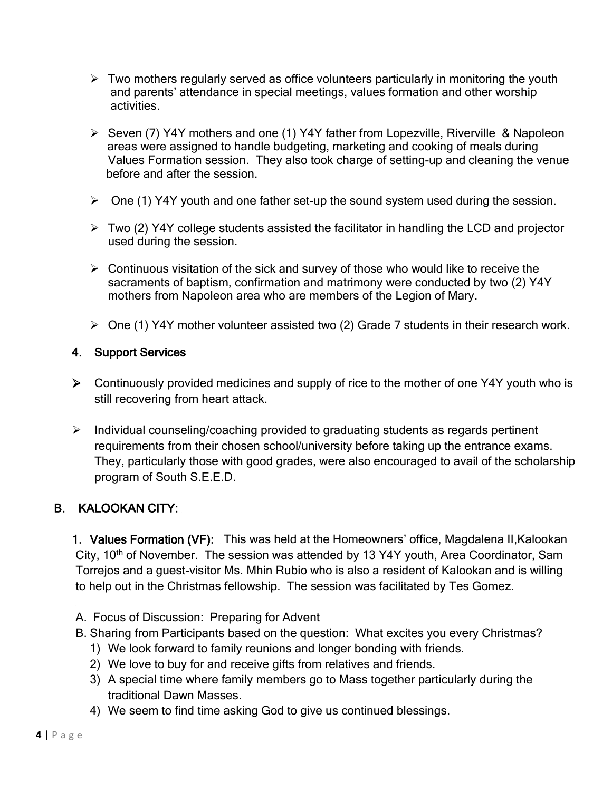- $\triangleright$  Two mothers regularly served as office volunteers particularly in monitoring the youth and parents' attendance in special meetings, values formation and other worship activities.
- Seven (7) Y4Y mothers and one (1) Y4Y father from Lopezville, Riverville & Napoleon areas were assigned to handle budgeting, marketing and cooking of meals during Values Formation session. They also took charge of setting-up and cleaning the venue before and after the session.
- $\triangleright$  One (1) Y4Y youth and one father set-up the sound system used during the session.
- $\triangleright$  Two (2) Y4Y college students assisted the facilitator in handling the LCD and projector used during the session.
- $\triangleright$  Continuous visitation of the sick and survey of those who would like to receive the sacraments of baptism, confirmation and matrimony were conducted by two (2) Y4Y mothers from Napoleon area who are members of the Legion of Mary.
- $\triangleright$  One (1) Y4Y mother volunteer assisted two (2) Grade 7 students in their research work.

### 4. Support Services

- $\triangleright$  Continuously provided medicines and supply of rice to the mother of one Y4Y youth who is still recovering from heart attack.
- $\triangleright$  Individual counseling/coaching provided to graduating students as regards pertinent requirements from their chosen school/university before taking up the entrance exams. They, particularly those with good grades, were also encouraged to avail of the scholarship program of South S.E.E.D.

## B. KALOOKAN CITY:

1. Values Formation (VF): This was held at the Homeowners' office, Magdalena II,Kalookan City, 10<sup>th</sup> of November. The session was attended by 13 Y4Y youth, Area Coordinator, Sam Torrejos and a guest-visitor Ms. Mhin Rubio who is also a resident of Kalookan and is willing to help out in the Christmas fellowship. The session was facilitated by Tes Gomez.

- A. Focus of Discussion: Preparing for Advent
- B. Sharing from Participants based on the question: What excites you every Christmas?
	- 1) We look forward to family reunions and longer bonding with friends.
	- 2) We love to buy for and receive gifts from relatives and friends.
	- 3) A special time where family members go to Mass together particularly during the traditional Dawn Masses.
	- 4) We seem to find time asking God to give us continued blessings.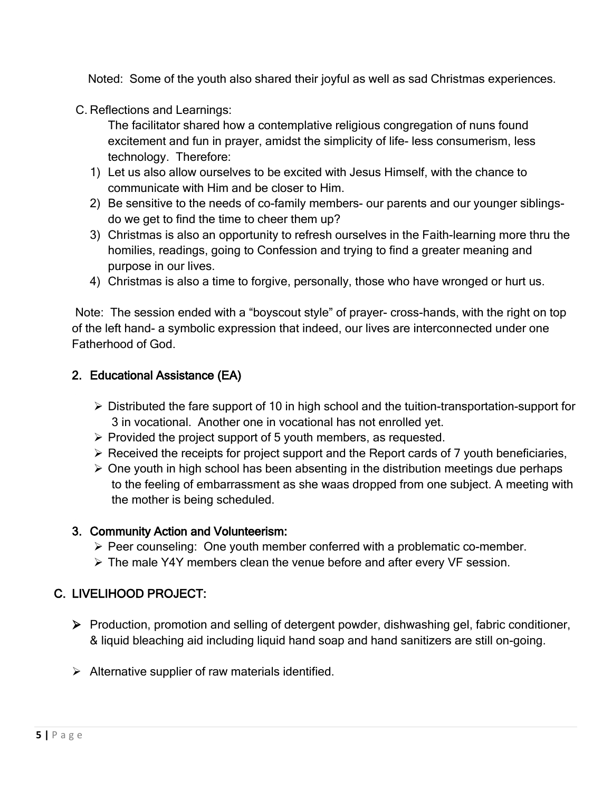Noted: Some of the youth also shared their joyful as well as sad Christmas experiences.

C. Reflections and Learnings:

The facilitator shared how a contemplative religious congregation of nuns found excitement and fun in prayer, amidst the simplicity of life- less consumerism, less technology. Therefore:

- 1) Let us also allow ourselves to be excited with Jesus Himself, with the chance to communicate with Him and be closer to Him.
- 2) Be sensitive to the needs of co-family members- our parents and our younger siblingsdo we get to find the time to cheer them up?
- 3) Christmas is also an opportunity to refresh ourselves in the Faith-learning more thru the homilies, readings, going to Confession and trying to find a greater meaning and purpose in our lives.
- 4) Christmas is also a time to forgive, personally, those who have wronged or hurt us.

Note: The session ended with a "boyscout style" of prayer- cross-hands, with the right on top of the left hand- a symbolic expression that indeed, our lives are interconnected under one Fatherhood of God.

### 2. Educational Assistance (EA)

- $\triangleright$  Distributed the fare support of 10 in high school and the tuition-transportation-support for 3 in vocational. Another one in vocational has not enrolled yet.
- $\triangleright$  Provided the project support of 5 youth members, as requested.
- $\triangleright$  Received the receipts for project support and the Report cards of 7 youth beneficiaries,
- $\triangleright$  One youth in high school has been absenting in the distribution meetings due perhaps to the feeling of embarrassment as she waas dropped from one subject. A meeting with the mother is being scheduled.

#### 3. Community Action and Volunteerism:

- $\triangleright$  Peer counseling: One youth member conferred with a problematic co-member.
- The male Y4Y members clean the venue before and after every VF session.

### C. LIVELIHOOD PROJECT:

- Production, promotion and selling of detergent powder, dishwashing gel, fabric conditioner, & liquid bleaching aid including liquid hand soap and hand sanitizers are still on-going.
- $\triangleright$  Alternative supplier of raw materials identified.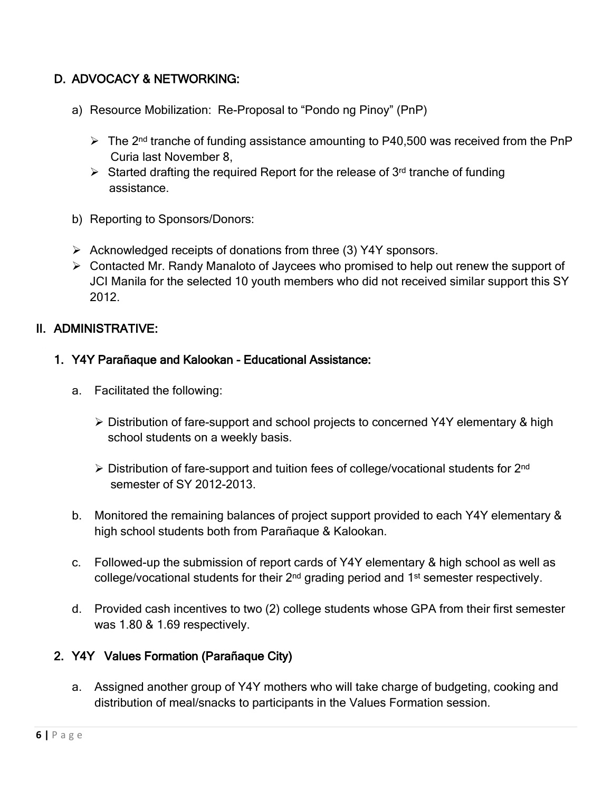# D. ADVOCACY & NETWORKING:

- a) Resource Mobilization: Re-Proposal to "Pondo ng Pinoy" (PnP)
	- $\triangleright$  The 2<sup>nd</sup> tranche of funding assistance amounting to P40,500 was received from the PnP Curia last November 8,
	- Started drafting the required Report for the release of 3<sup>rd</sup> tranche of funding assistance.
- b) Reporting to Sponsors/Donors:
- $\triangleright$  Acknowledged receipts of donations from three (3) Y4Y sponsors.
- Contacted Mr. Randy Manaloto of Jaycees who promised to help out renew the support of JCI Manila for the selected 10 youth members who did not received similar support this SY 2012.

### II. ADMINISTRATIVE:

#### 1. Y4Y Parañaque and Kalookan - Educational Assistance:

- a. Facilitated the following:
	- Distribution of fare-support and school projects to concerned Y4Y elementary & high school students on a weekly basis.
	- $\triangleright$  Distribution of fare-support and tuition fees of college/vocational students for 2<sup>nd</sup> semester of SY 2012-2013.
- b. Monitored the remaining balances of project support provided to each Y4Y elementary & high school students both from Parañaque & Kalookan.
- c. Followed-up the submission of report cards of Y4Y elementary & high school as well as college/vocational students for their 2<sup>nd</sup> grading period and 1<sup>st</sup> semester respectively.
- d. Provided cash incentives to two (2) college students whose GPA from their first semester was 1.80 & 1.69 respectively.

## 2. Y4Y Values Formation (Parañaque City)

a. Assigned another group of Y4Y mothers who will take charge of budgeting, cooking and distribution of meal/snacks to participants in the Values Formation session.